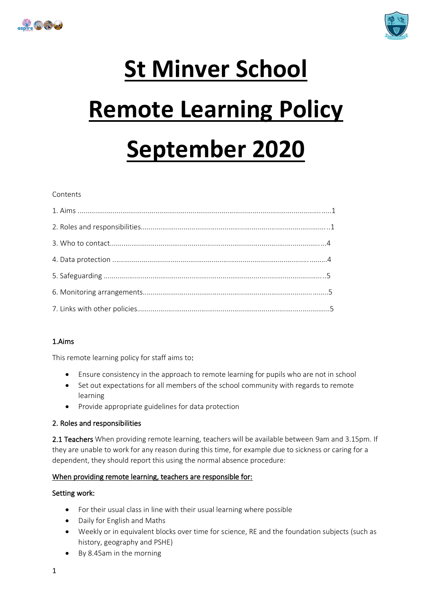



# **St Minver School Remote Learning Policy September 2020**

#### Contents

## 1.Aims

This remote learning policy for staff aims to:

- Ensure consistency in the approach to remote learning for pupils who are not in school
- Set out expectations for all members of the school community with regards to remote learning
- Provide appropriate guidelines for data protection

## 2. Roles and responsibilities

2.1 Teachers When providing remote learning, teachers will be available between 9am and 3.15pm. If they are unable to work for any reason during this time, for example due to sickness or caring for a dependent, they should report this using the normal absence procedure:

#### When providing remote learning, teachers are responsible for:

## Setting work:

- For their usual class in line with their usual learning where possible
- Daily for English and Maths
- Weekly or in equivalent blocks over time for science, RE and the foundation subjects (such as history, geography and PSHE)
- By 8.45am in the morning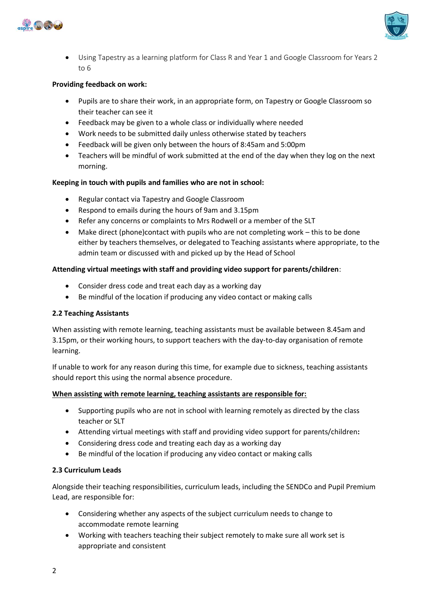



• Using Tapestry as a learning platform for Class R and Year 1 and Google Classroom for Years 2 to 6

#### **Providing feedback on work:**

- Pupils are to share their work, in an appropriate form, on Tapestry or Google Classroom so their teacher can see it
- Feedback may be given to a whole class or individually where needed
- Work needs to be submitted daily unless otherwise stated by teachers
- Feedback will be given only between the hours of 8:45am and 5:00pm
- Teachers will be mindful of work submitted at the end of the day when they log on the next morning.

#### **Keeping in touch with pupils and families who are not in school:**

- Regular contact via Tapestry and Google Classroom
- Respond to emails during the hours of 9am and 3.15pm
- Refer any concerns or complaints to Mrs Rodwell or a member of the SLT
- Make direct (phone)contact with pupils who are not completing work this to be done either by teachers themselves, or delegated to Teaching assistants where appropriate, to the admin team or discussed with and picked up by the Head of School

#### **Attending virtual meetings with staff and providing video support for parents/children**:

- Consider dress code and treat each day as a working day
- Be mindful of the location if producing any video contact or making calls

#### **2.2 Teaching Assistants**

When assisting with remote learning, teaching assistants must be available between 8.45am and 3.15pm, or their working hours, to support teachers with the day-to-day organisation of remote learning.

If unable to work for any reason during this time, for example due to sickness, teaching assistants should report this using the normal absence procedure.

#### **When assisting with remote learning, teaching assistants are responsible for:**

- Supporting pupils who are not in school with learning remotely as directed by the class teacher or SLT
- Attending virtual meetings with staff and providing video support for parents/children**:**
- Considering dress code and treating each day as a working day
- Be mindful of the location if producing any video contact or making calls

#### **2.3 Curriculum Leads**

Alongside their teaching responsibilities, curriculum leads, including the SENDCo and Pupil Premium Lead, are responsible for:

- Considering whether any aspects of the subject curriculum needs to change to accommodate remote learning
- Working with teachers teaching their subject remotely to make sure all work set is appropriate and consistent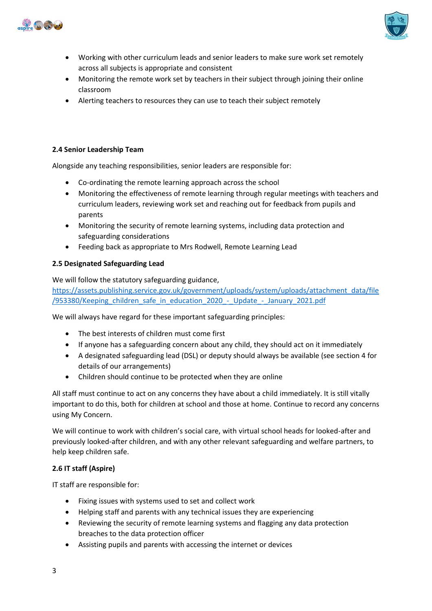



- Working with other curriculum leads and senior leaders to make sure work set remotely across all subjects is appropriate and consistent
- Monitoring the remote work set by teachers in their subject through joining their online classroom
- Alerting teachers to resources they can use to teach their subject remotely

### **2.4 Senior Leadership Team**

Alongside any teaching responsibilities, senior leaders are responsible for:

- Co-ordinating the remote learning approach across the school
- Monitoring the effectiveness of remote learning through regular meetings with teachers and curriculum leaders, reviewing work set and reaching out for feedback from pupils and parents
- Monitoring the security of remote learning systems, including data protection and safeguarding considerations
- Feeding back as appropriate to Mrs Rodwell, Remote Learning Lead

#### **2.5 Designated Safeguarding Lead**

We will follow the statutory safeguarding guidance,

[https://assets.publishing.service.gov.uk/government/uploads/system/uploads/attachment\\_data/file](https://assets.publishing.service.gov.uk/government/uploads/system/uploads/attachment_data/file/953380/Keeping_children_safe_in_education_2020_-_Update_-_January_2021.pdf) [/953380/Keeping\\_children\\_safe\\_in\\_education\\_2020\\_-\\_Update\\_-\\_January\\_2021.pdf](https://assets.publishing.service.gov.uk/government/uploads/system/uploads/attachment_data/file/953380/Keeping_children_safe_in_education_2020_-_Update_-_January_2021.pdf)

We will always have regard for these important safeguarding principles:

- The best interests of children must come first
- If anyone has a safeguarding concern about any child, they should act on it immediately
- A designated safeguarding lead (DSL) or deputy should always be available (see section 4 for details of our arrangements)
- Children should continue to be protected when they are online

All staff must continue to act on any concerns they have about a child immediately. It is still vitally important to do this, both for children at school and those at home. Continue to record any concerns using My Concern.

We will continue to work with children's social care, with virtual school heads for looked-after and previously looked-after children, and with any other relevant safeguarding and welfare partners, to help keep children safe.

## **2.6 IT staff (Aspire)**

IT staff are responsible for:

- Fixing issues with systems used to set and collect work
- Helping staff and parents with any technical issues they are experiencing
- Reviewing the security of remote learning systems and flagging any data protection breaches to the data protection officer
- Assisting pupils and parents with accessing the internet or devices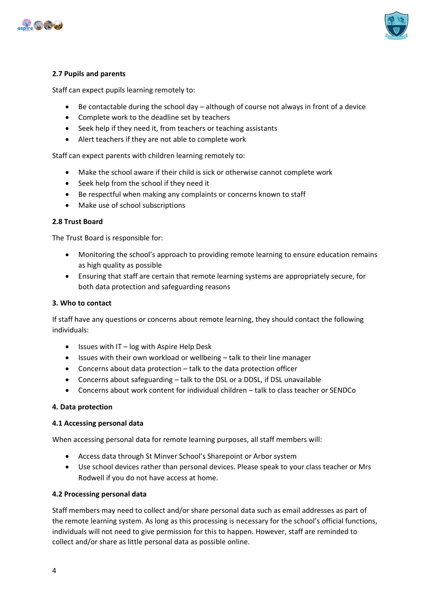



## **2.7 Pupils and parents**

Staff can expect pupils learning remotely to:

- Be contactable during the school day although of course not always in front of a device
- Complete work to the deadline set by teachers
- Seek help if they need it, from teachers or teaching assistants
- Alert teachers if they are not able to complete work

Staff can expect parents with children learning remotely to:

- Make the school aware if their child is sick or otherwise cannot complete work
- Seek help from the school if they need it
- Be respectful when making any complaints or concerns known to staff
- Make use of school subscriptions

#### **2.8 Trust Board**

The Trust Board is responsible for:

- Monitoring the school's approach to providing remote learning to ensure education remains as high quality as possible
- Ensuring that staff are certain that remote learning systems are appropriately secure, for both data protection and safeguarding reasons

#### **3. Who to contact**

If staff have any questions or concerns about remote learning, they should contact the following individuals:

- Issues with IT log with Aspire Help Desk
- Issues with their own workload or wellbeing talk to their line manager
- Concerns about data protection talk to the data protection officer
- Concerns about safeguarding talk to the DSL or a DDSL, if DSL unavailable
- Concerns about work content for individual children talk to class teacher or SENDCo

#### **4. Data protection**

#### **4.1 Accessing personal data**

When accessing personal data for remote learning purposes, all staff members will:

- Access data through St Minver School's Sharepoint or Arbor system
- Use school devices rather than personal devices. Please speak to your class teacher or Mrs Rodwell if you do not have access at home.

#### **4.2 Processing personal data**

Staff members may need to collect and/or share personal data such as email addresses as part of the remote learning system. As long as this processing is necessary for the school's official functions, individuals will not need to give permission for this to happen. However, staff are reminded to collect and/or share as little personal data as possible online.